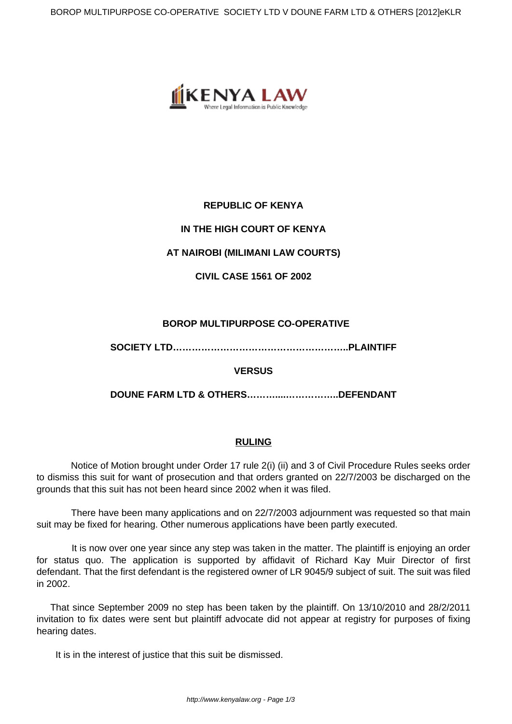

# **REPUBLIC OF KENYA**

# **IN THE HIGH COURT OF KENYA**

## **AT NAIROBI (MILIMANI LAW COURTS)**

**CIVIL CASE 1561 OF 2002**

## **BOROP MULTIPURPOSE CO-OPERATIVE**

**SOCIETY LTD………………………………………………..PLAINTIFF**

## **VERSUS**

**DOUNE FARM LTD & OTHERS………....……………..DEFENDANT**

### **RULING**

Notice of Motion brought under Order 17 rule 2(i) (ii) and 3 of Civil Procedure Rules seeks order to dismiss this suit for want of prosecution and that orders granted on 22/7/2003 be discharged on the grounds that this suit has not been heard since 2002 when it was filed.

 There have been many applications and on 22/7/2003 adjournment was requested so that main suit may be fixed for hearing. Other numerous applications have been partly executed.

 It is now over one year since any step was taken in the matter. The plaintiff is enjoying an order for status quo. The application is supported by affidavit of Richard Kay Muir Director of first defendant. That the first defendant is the registered owner of LR 9045/9 subject of suit. The suit was filed in 2002.

That since September 2009 no step has been taken by the plaintiff. On 13/10/2010 and 28/2/2011 invitation to fix dates were sent but plaintiff advocate did not appear at registry for purposes of fixing hearing dates.

It is in the interest of justice that this suit be dismissed.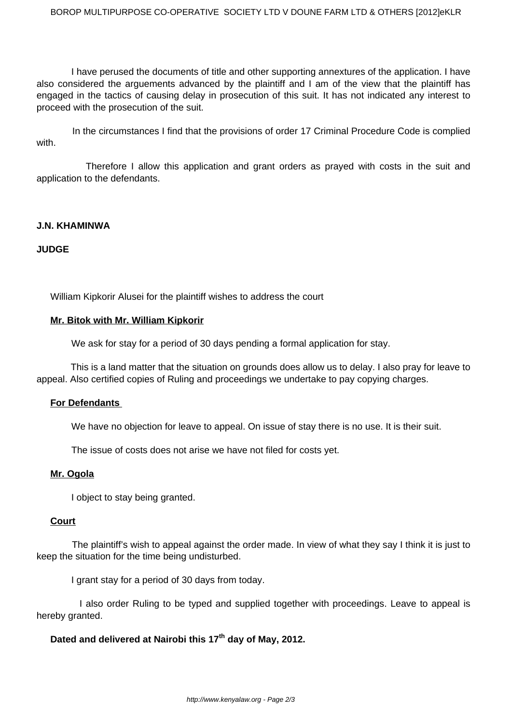I have perused the documents of title and other supporting annextures of the application. I have also considered the arguements advanced by the plaintiff and I am of the view that the plaintiff has engaged in the tactics of causing delay in prosecution of this suit. It has not indicated any interest to proceed with the prosecution of the suit.

 In the circumstances I find that the provisions of order 17 Criminal Procedure Code is complied with.

 Therefore I allow this application and grant orders as prayed with costs in the suit and application to the defendants.

### **J.N. KHAMINWA**

### **JUDGE**

William Kipkorir Alusei for the plaintiff wishes to address the court

#### **Mr. Bitok with Mr. William Kipkorir**

We ask for stay for a period of 30 days pending a formal application for stay.

 This is a land matter that the situation on grounds does allow us to delay. I also pray for leave to appeal. Also certified copies of Ruling and proceedings we undertake to pay copying charges.

### **For Defendants**

We have no objection for leave to appeal. On issue of stay there is no use. It is their suit.

The issue of costs does not arise we have not filed for costs yet.

#### **Mr. Ogola**

I object to stay being granted.

#### **Court**

 The plaintiff's wish to appeal against the order made. In view of what they say I think it is just to keep the situation for the time being undisturbed.

I grant stay for a period of 30 days from today.

 I also order Ruling to be typed and supplied together with proceedings. Leave to appeal is hereby granted.

## **Dated and delivered at Nairobi this 17th day of May, 2012.**